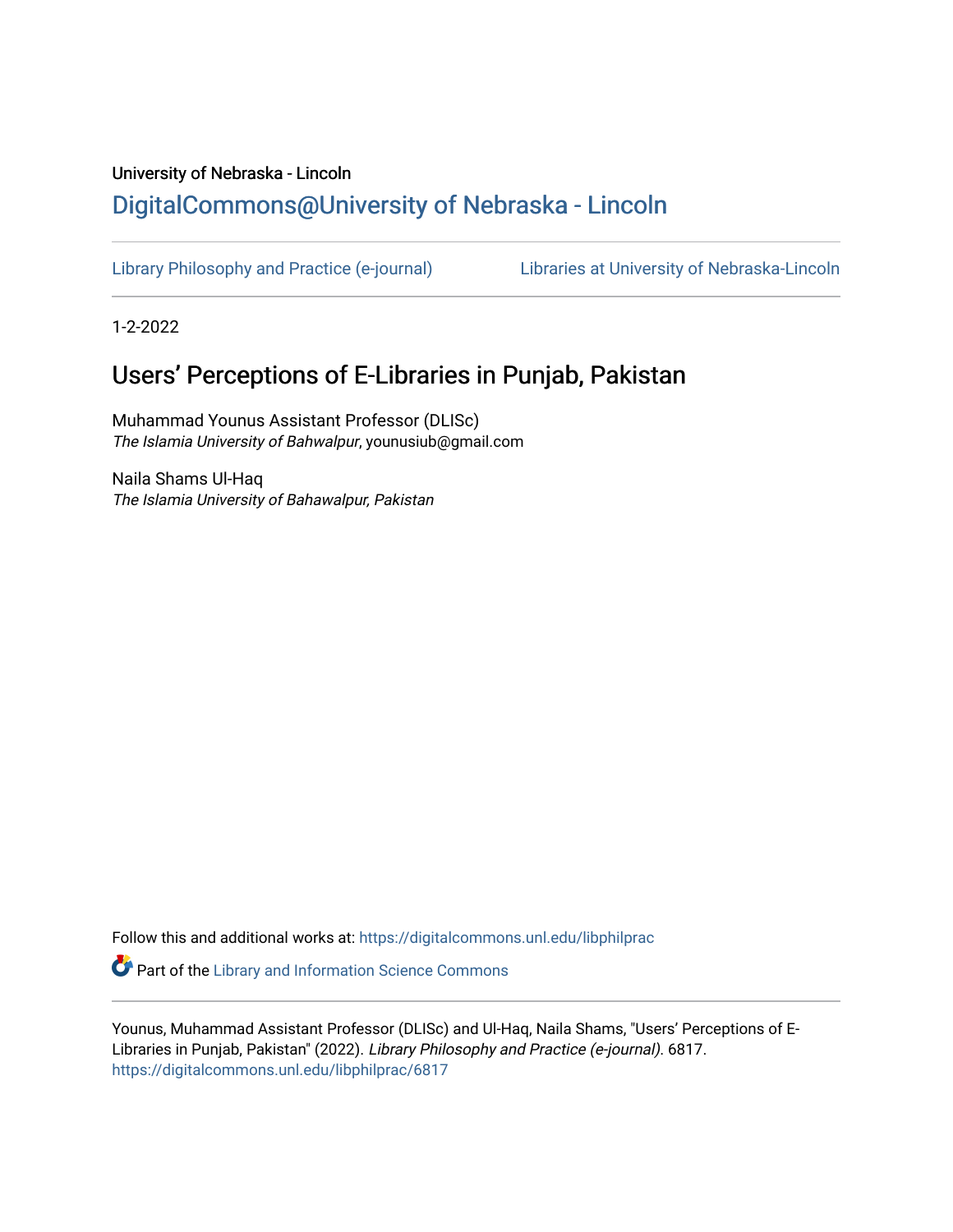# University of Nebraska - Lincoln [DigitalCommons@University of Nebraska - Lincoln](https://digitalcommons.unl.edu/)

[Library Philosophy and Practice \(e-journal\)](https://digitalcommons.unl.edu/libphilprac) [Libraries at University of Nebraska-Lincoln](https://digitalcommons.unl.edu/libraries) 

1-2-2022

# Users' Perceptions of E-Libraries in Punjab, Pakistan

Muhammad Younus Assistant Professor (DLISc) The Islamia University of Bahwalpur, younusiub@gmail.com

Naila Shams Ul-Haq The Islamia University of Bahawalpur, Pakistan

Follow this and additional works at: [https://digitalcommons.unl.edu/libphilprac](https://digitalcommons.unl.edu/libphilprac?utm_source=digitalcommons.unl.edu%2Flibphilprac%2F6817&utm_medium=PDF&utm_campaign=PDFCoverPages) 

**C** Part of the Library and Information Science Commons

Younus, Muhammad Assistant Professor (DLISc) and Ul-Haq, Naila Shams, "Users' Perceptions of E-Libraries in Punjab, Pakistan" (2022). Library Philosophy and Practice (e-journal). 6817. [https://digitalcommons.unl.edu/libphilprac/6817](https://digitalcommons.unl.edu/libphilprac/6817?utm_source=digitalcommons.unl.edu%2Flibphilprac%2F6817&utm_medium=PDF&utm_campaign=PDFCoverPages)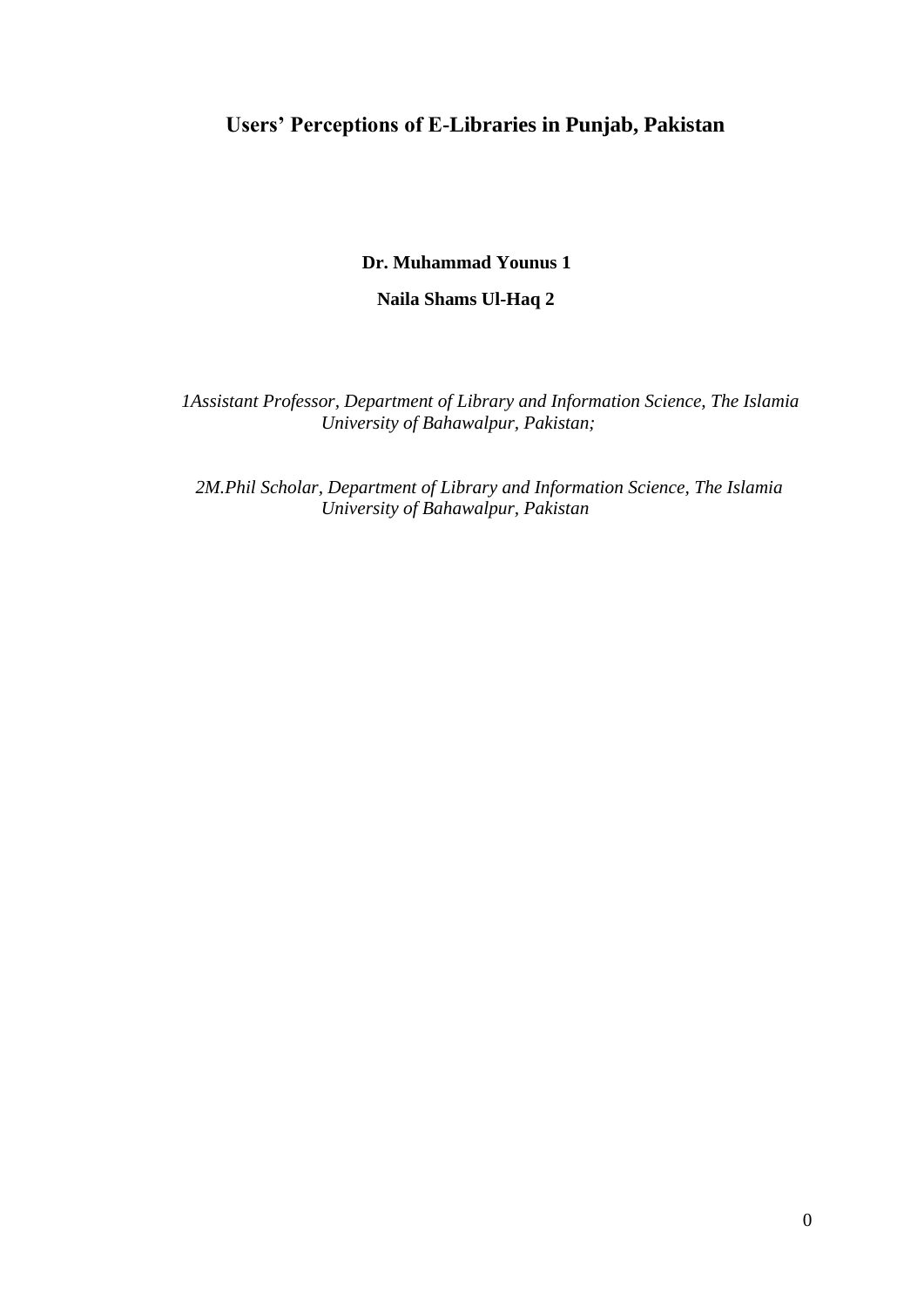## **Users' Perceptions of E-Libraries in Punjab, Pakistan**

 **Dr. Muhammad Younus 1** 

 **Naila Shams Ul-Haq 2** 

 *1Assistant Professor, Department of Library and Information Science, The Islamia University of Bahawalpur, Pakistan;*

 *2M.Phil Scholar, Department of Library and Information Science, The Islamia University of Bahawalpur, Pakistan*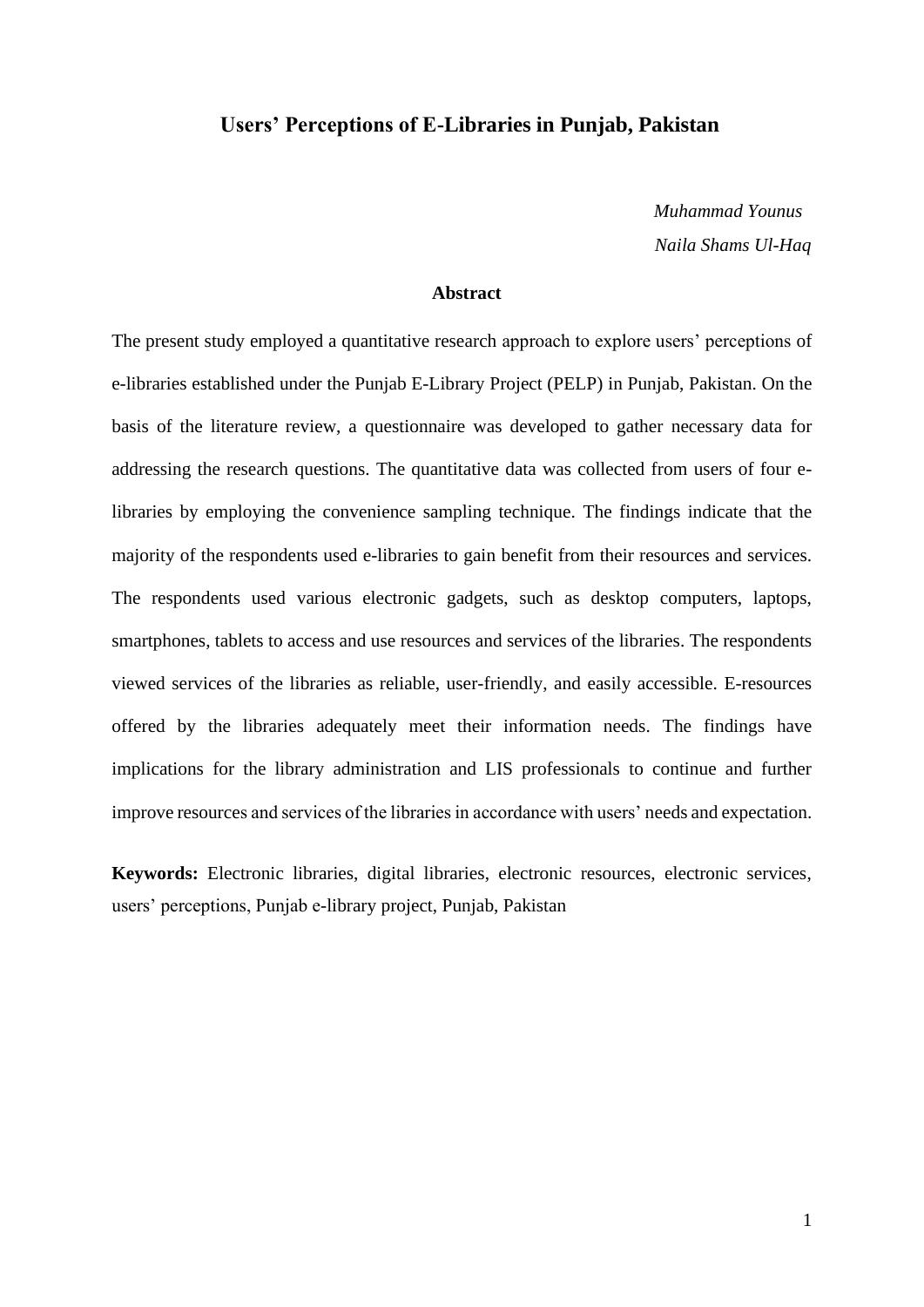### **Users' Perceptions of E-Libraries in Punjab, Pakistan**

 *Muhammad Younus* *Naila Shams Ul-Haq*

### **Abstract**

The present study employed a quantitative research approach to explore users' perceptions of e-libraries established under the Punjab E-Library Project (PELP) in Punjab, Pakistan. On the basis of the literature review, a questionnaire was developed to gather necessary data for addressing the research questions. The quantitative data was collected from users of four elibraries by employing the convenience sampling technique. The findings indicate that the majority of the respondents used e-libraries to gain benefit from their resources and services. The respondents used various electronic gadgets, such as desktop computers, laptops, smartphones, tablets to access and use resources and services of the libraries. The respondents viewed services of the libraries as reliable, user-friendly, and easily accessible. E-resources offered by the libraries adequately meet their information needs. The findings have implications for the library administration and LIS professionals to continue and further improve resources and services of the libraries in accordance with users' needs and expectation.

**Keywords:** Electronic libraries, digital libraries, electronic resources, electronic services, users' perceptions, Punjab e-library project, Punjab, Pakistan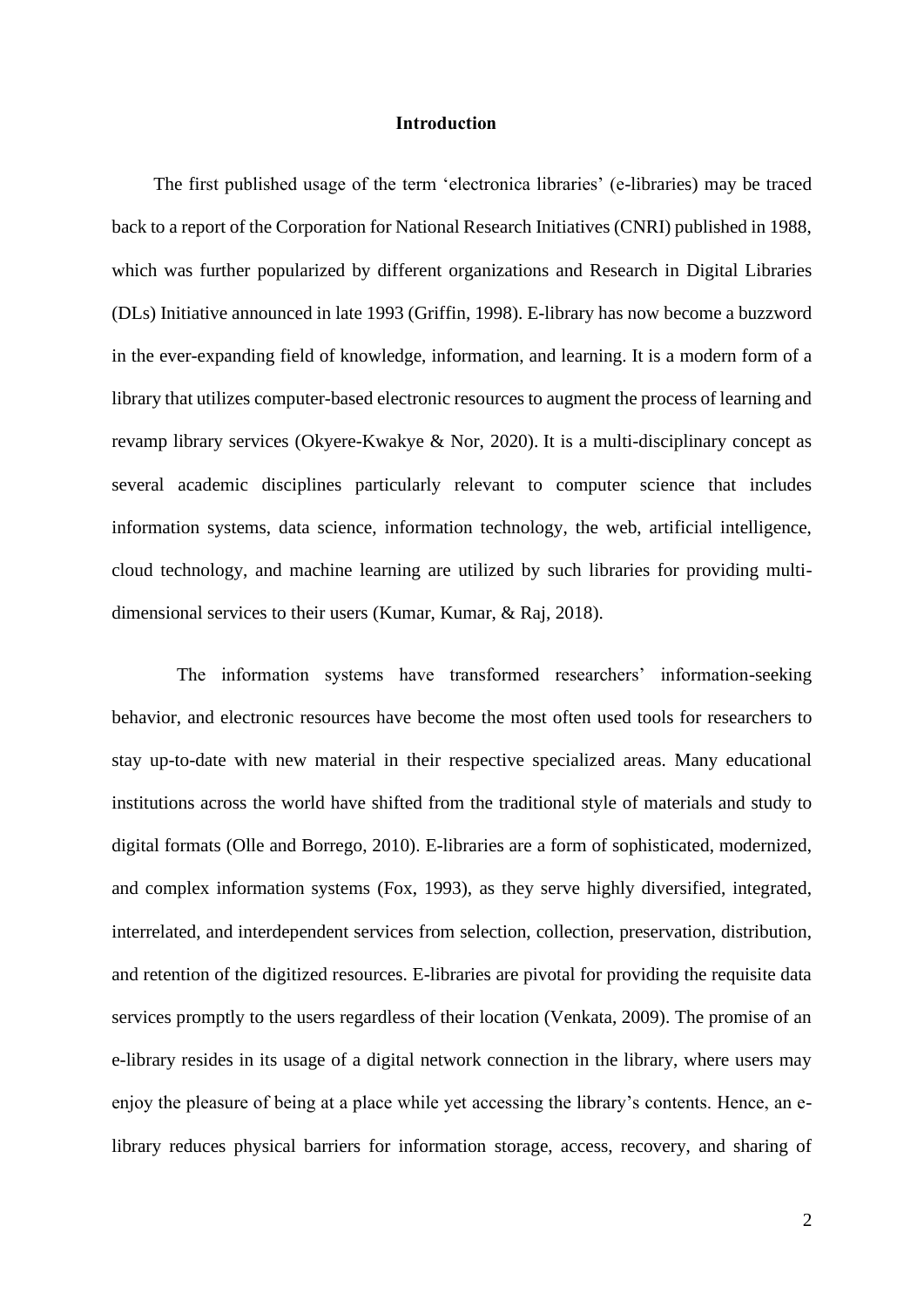### **Introduction**

 The first published usage of the term 'electronica libraries' (e-libraries) may be traced back to a report of the Corporation for National Research Initiatives (CNRI) published in 1988, which was further popularized by different organizations and Research in Digital Libraries (DLs) Initiative announced in late 1993 (Griffin, 1998). E-library has now become a buzzword in the ever-expanding field of knowledge, information, and learning. It is a modern form of a library that utilizes computer-based electronic resources to augment the process of learning and revamp library services (Okyere-Kwakye & Nor, 2020). It is a multi-disciplinary concept as several academic disciplines particularly relevant to computer science that includes information systems, data science, information technology, the web, artificial intelligence, cloud technology, and machine learning are utilized by such libraries for providing multidimensional services to their users (Kumar, Kumar, & Raj, 2018).

 The information systems have transformed researchers' information-seeking behavior, and electronic resources have become the most often used tools for researchers to stay up-to-date with new material in their respective specialized areas. Many educational institutions across the world have shifted from the traditional style of materials and study to digital formats (Olle and Borrego, 2010). E-libraries are a form of sophisticated, modernized, and complex information systems (Fox, 1993), as they serve highly diversified, integrated, interrelated, and interdependent services from selection, collection, preservation, distribution, and retention of the digitized resources. E-libraries are pivotal for providing the requisite data services promptly to the users regardless of their location (Venkata, 2009). The promise of an e-library resides in its usage of a digital network connection in the library, where users may enjoy the pleasure of being at a place while yet accessing the library's contents. Hence, an elibrary reduces physical barriers for information storage, access, recovery, and sharing of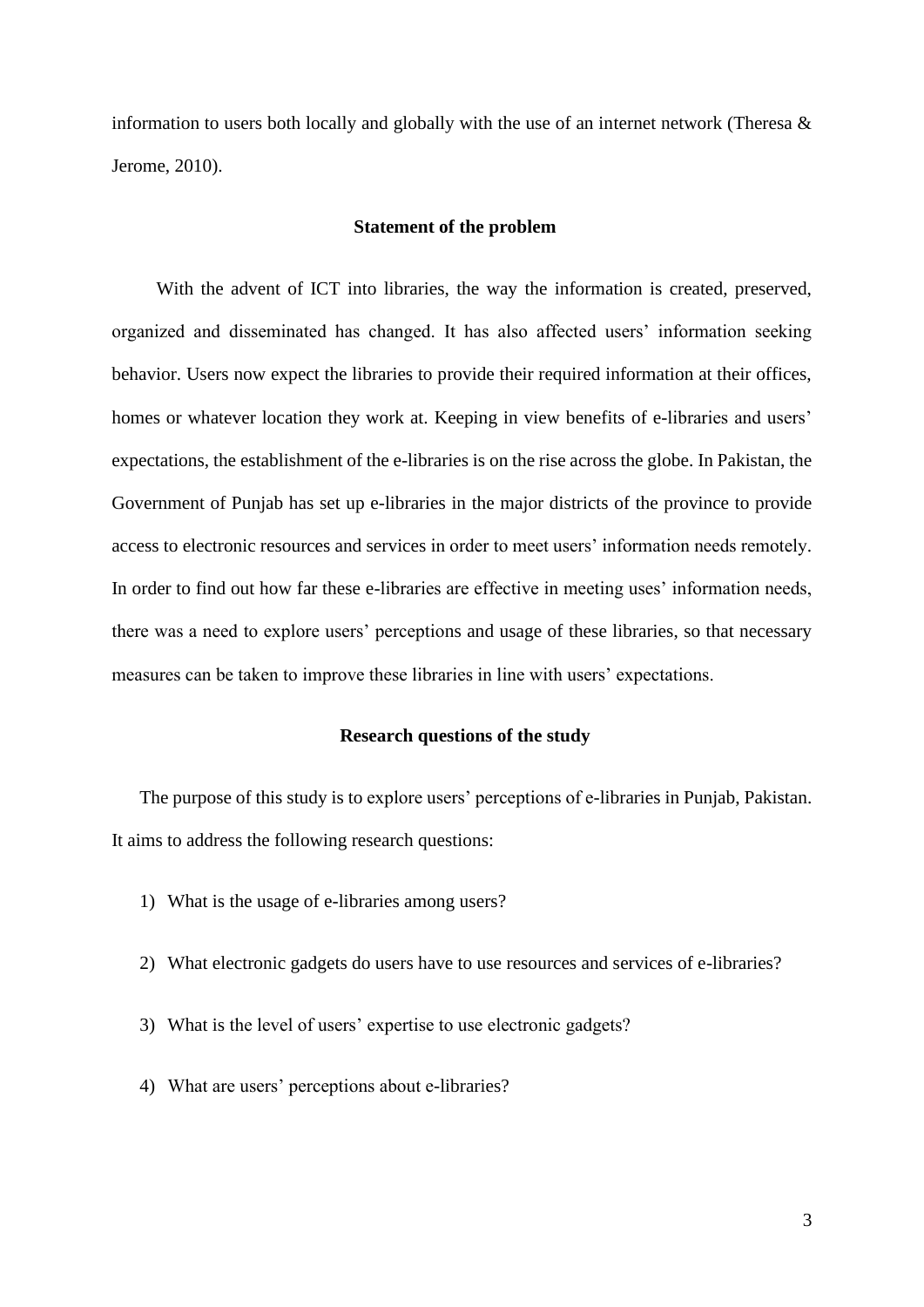information to users both locally and globally with the use of an internet network (Theresa  $\&$ Jerome, 2010).

### **Statement of the problem**

With the advent of ICT into libraries, the way the information is created, preserved, organized and disseminated has changed. It has also affected users' information seeking behavior. Users now expect the libraries to provide their required information at their offices, homes or whatever location they work at. Keeping in view benefits of e-libraries and users' expectations, the establishment of the e-libraries is on the rise across the globe. In Pakistan, the Government of Punjab has set up e-libraries in the major districts of the province to provide access to electronic resources and services in order to meet users' information needs remotely. In order to find out how far these e-libraries are effective in meeting uses' information needs, there was a need to explore users' perceptions and usage of these libraries, so that necessary measures can be taken to improve these libraries in line with users' expectations.

#### **Research questions of the study**

The purpose of this study is to explore users' perceptions of e-libraries in Punjab, Pakistan. It aims to address the following research questions:

- 1) What is the usage of e-libraries among users?
- 2) What electronic gadgets do users have to use resources and services of e-libraries?
- 3) What is the level of users' expertise to use electronic gadgets?
- 4) What are users' perceptions about e-libraries?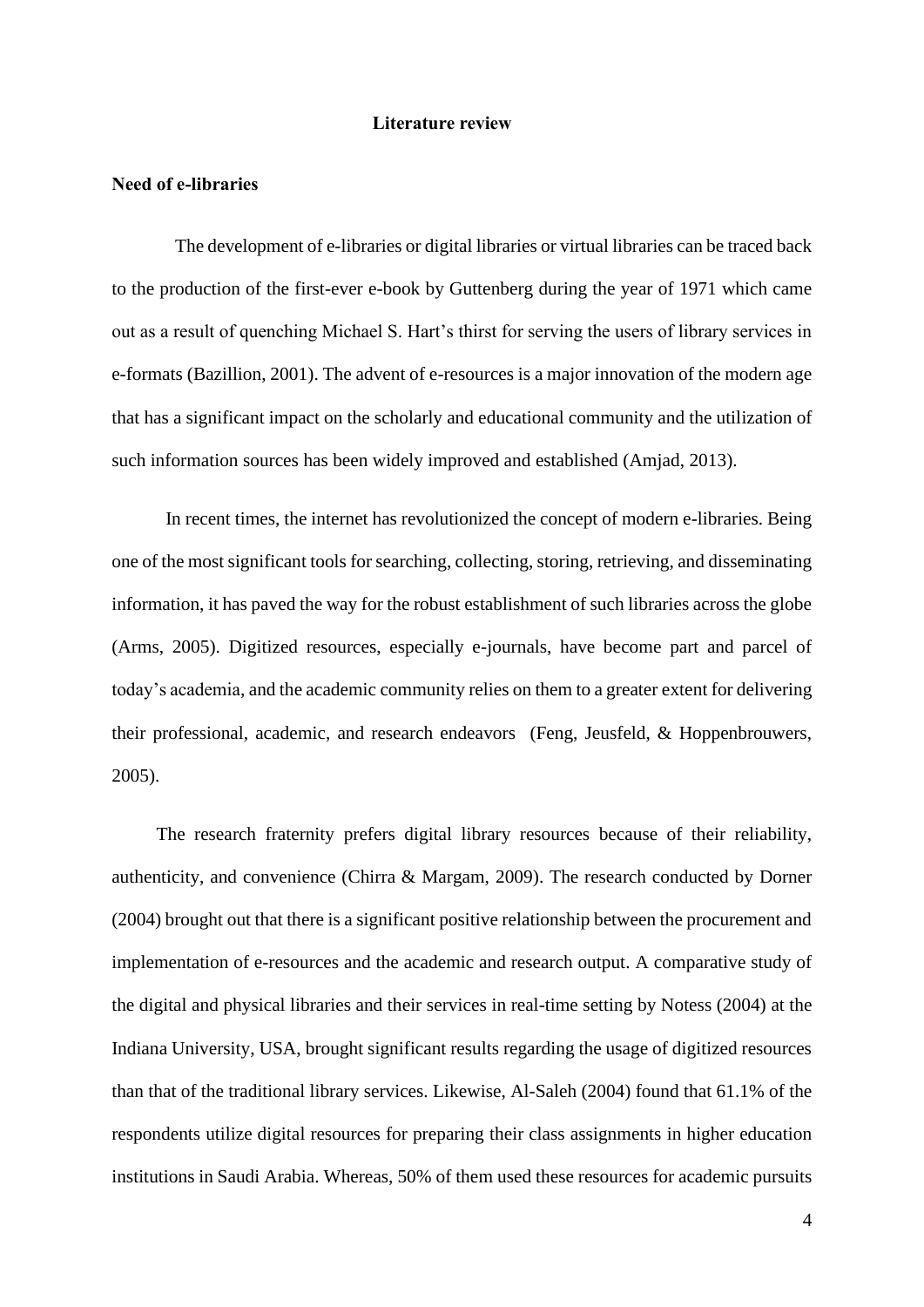#### **Literature review**

### **Need of e-libraries**

 The development of e-libraries or digital libraries or virtual libraries can be traced back to the production of the first-ever e-book by Guttenberg during the year of 1971 which came out as a result of quenching Michael S. Hart's thirst for serving the users of library services in e-formats (Bazillion, 2001). The advent of e-resources is a major innovation of the modern age that has a significant impact on the scholarly and educational community and the utilization of such information sources has been widely improved and established (Amjad, 2013).

 In recent times, the internet has revolutionized the concept of modern e-libraries. Being one of the most significant tools for searching, collecting, storing, retrieving, and disseminating information, it has paved the way for the robust establishment of such libraries across the globe (Arms, 2005). Digitized resources, especially e-journals, have become part and parcel of today's academia, and the academic community relies on them to a greater extent for delivering their professional, academic, and research endeavors (Feng, Jeusfeld, & Hoppenbrouwers, 2005).

The research fraternity prefers digital library resources because of their reliability, authenticity, and convenience (Chirra & Margam, 2009). The research conducted by Dorner (2004) brought out that there is a significant positive relationship between the procurement and implementation of e-resources and the academic and research output. A comparative study of the digital and physical libraries and their services in real-time setting by Notess (2004) at the Indiana University, USA, brought significant results regarding the usage of digitized resources than that of the traditional library services. Likewise, Al-Saleh (2004) found that 61.1% of the respondents utilize digital resources for preparing their class assignments in higher education institutions in Saudi Arabia. Whereas, 50% of them used these resources for academic pursuits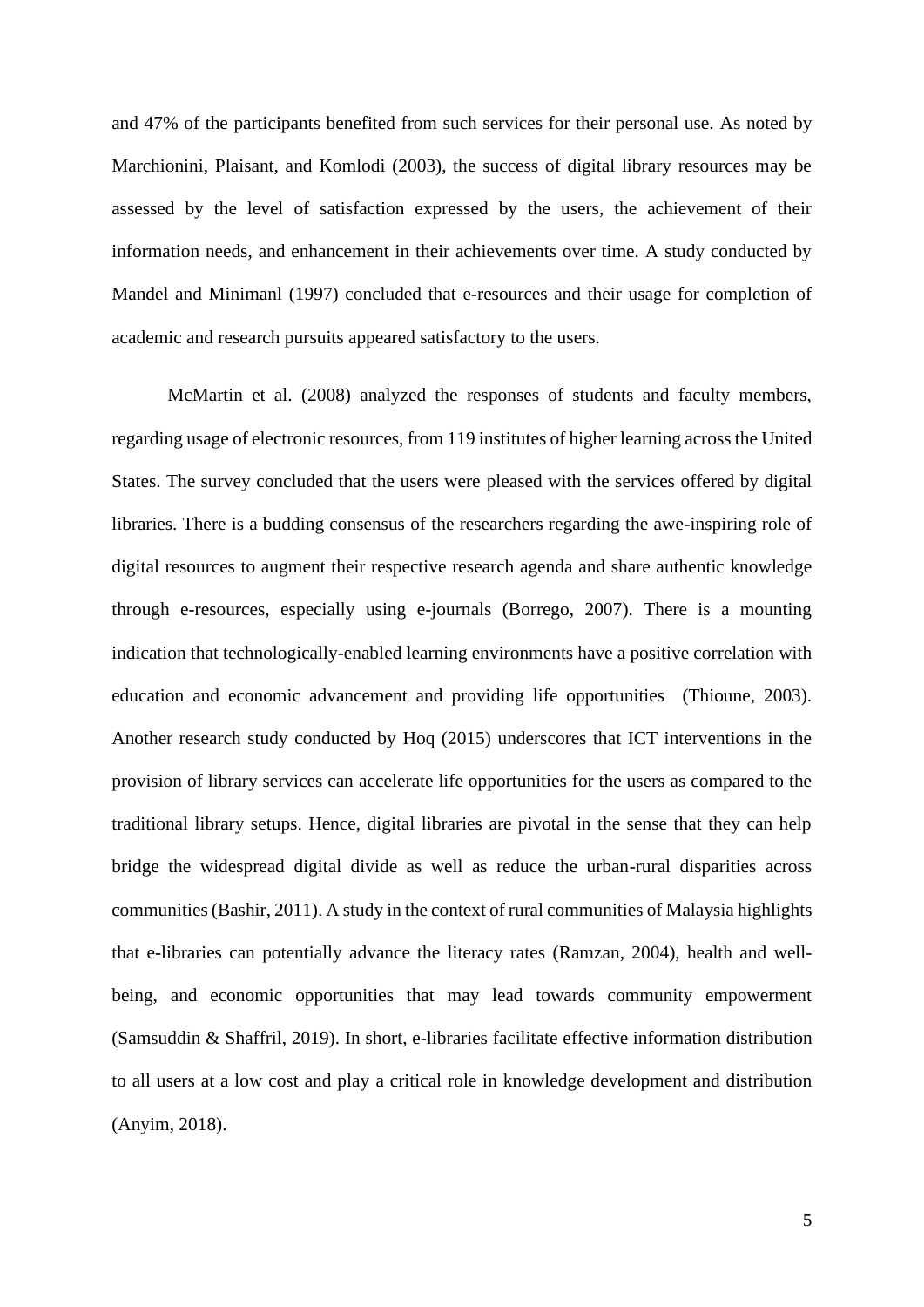and 47% of the participants benefited from such services for their personal use. As noted by Marchionini, Plaisant, and Komlodi (2003), the success of digital library resources may be assessed by the level of satisfaction expressed by the users, the achievement of their information needs, and enhancement in their achievements over time. A study conducted by Mandel and Minimanl (1997) concluded that e-resources and their usage for completion of academic and research pursuits appeared satisfactory to the users.

 McMartin et al. (2008) analyzed the responses of students and faculty members, regarding usage of electronic resources, from 119 institutes of higher learning across the United States. The survey concluded that the users were pleased with the services offered by digital libraries. There is a budding consensus of the researchers regarding the awe-inspiring role of digital resources to augment their respective research agenda and share authentic knowledge through e-resources, especially using e-journals (Borrego, 2007). There is a mounting indication that technologically-enabled learning environments have a positive correlation with education and economic advancement and providing life opportunities (Thioune, 2003). Another research study conducted by Hoq (2015) underscores that ICT interventions in the provision of library services can accelerate life opportunities for the users as compared to the traditional library setups. Hence, digital libraries are pivotal in the sense that they can help bridge the widespread digital divide as well as reduce the urban-rural disparities across communities (Bashir, 2011). A study in the context of rural communities of Malaysia highlights that e-libraries can potentially advance the literacy rates (Ramzan, 2004), health and wellbeing, and economic opportunities that may lead towards community empowerment (Samsuddin & Shaffril, 2019). In short, e-libraries facilitate effective information distribution to all users at a low cost and play a critical role in knowledge development and distribution (Anyim, 2018).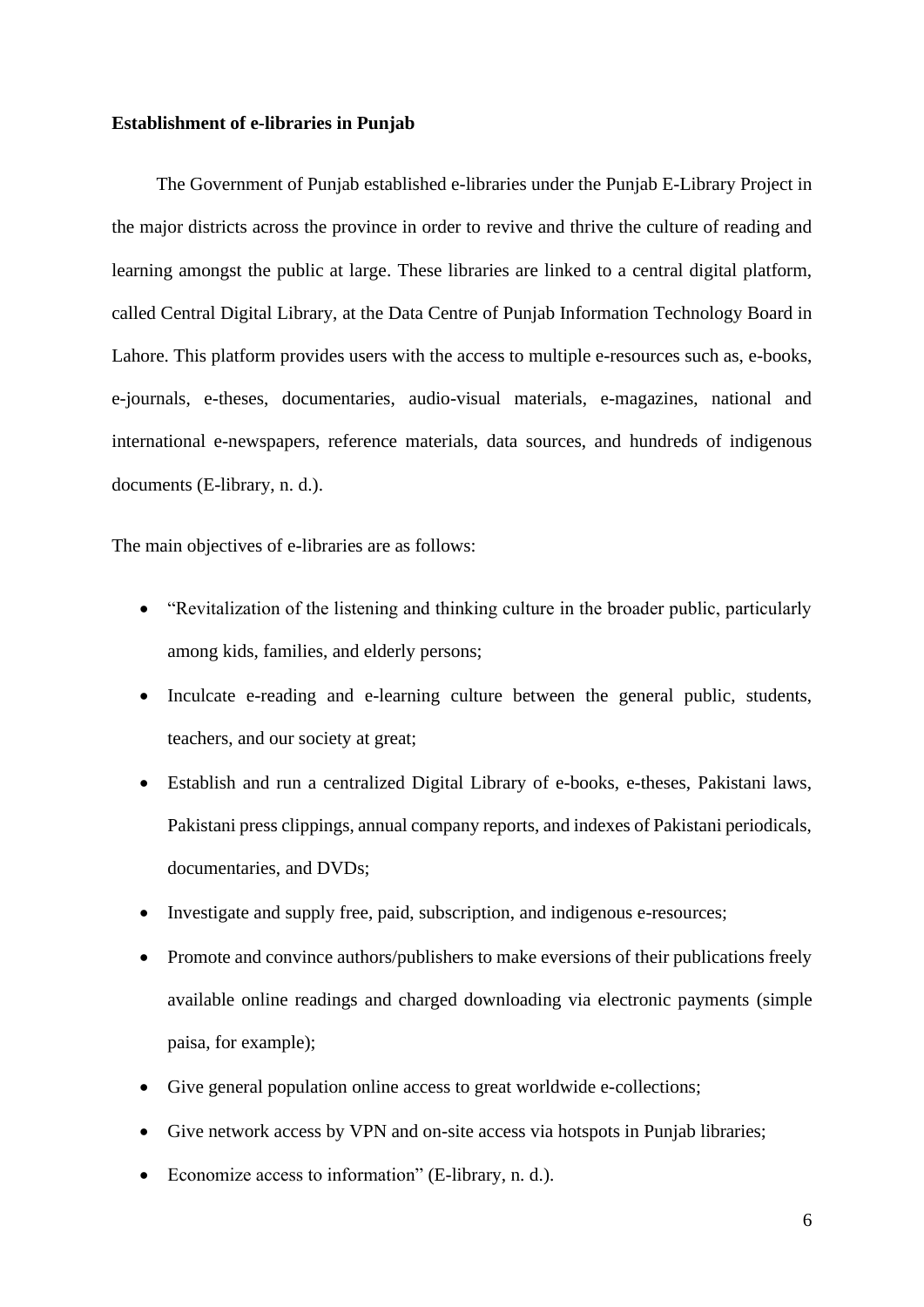### **Establishment of e-libraries in Punjab**

The Government of Punjab established e-libraries under the Punjab E-Library Project in the major districts across the province in order to revive and thrive the culture of reading and learning amongst the public at large. These libraries are linked to a central digital platform, called Central Digital Library, at the Data Centre of Punjab Information Technology Board in Lahore. This platform provides users with the access to multiple e-resources such as, e-books, e-journals, e-theses, documentaries, audio-visual materials, e-magazines, national and international e-newspapers, reference materials, data sources, and hundreds of indigenous documents (E-library, n. d.).

The main objectives of e-libraries are as follows:

- "Revitalization of the listening and thinking culture in the broader public, particularly among kids, families, and elderly persons;
- Inculcate e-reading and e-learning culture between the general public, students, teachers, and our society at great;
- Establish and run a centralized Digital Library of e-books, e-theses, Pakistani laws, Pakistani press clippings, annual company reports, and indexes of Pakistani periodicals, documentaries, and DVDs;
- Investigate and supply free, paid, subscription, and indigenous e-resources;
- Promote and convince authors/publishers to make eversions of their publications freely available online readings and charged downloading via electronic payments (simple paisa, for example);
- Give general population online access to great worldwide e-collections;
- Give network access by VPN and on-site access via hotspots in Punjab libraries;
- Economize access to information" (E-library, n. d.).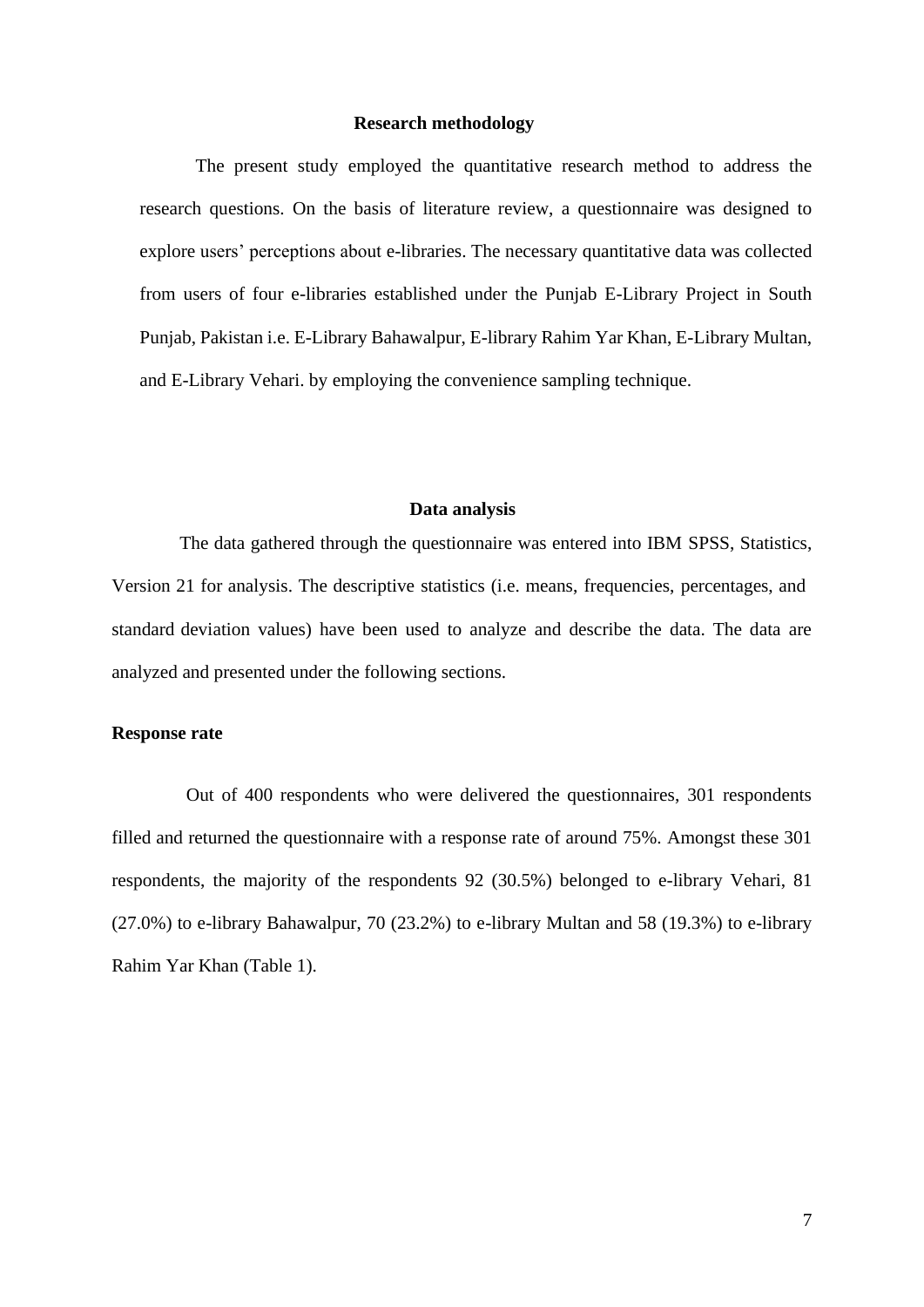### **Research methodology**

 The present study employed the quantitative research method to address the research questions. On the basis of literature review, a questionnaire was designed to explore users' perceptions about e-libraries. The necessary quantitative data was collected from users of four e-libraries established under the Punjab E-Library Project in South Punjab, Pakistan i.e. E-Library Bahawalpur, E-library Rahim Yar Khan, E-Library Multan, and E-Library Vehari. by employing the convenience sampling technique.

#### **Data analysis**

 The data gathered through the questionnaire was entered into IBM-SPSS, Statistics, Version 21 for analysis. The descriptive statistics (i.e. means, frequencies, percentages, andstandard deviation values) have been used to analyze and describe the data. The data are analyzed and presented under the following sections.

### **Response rate**

 Out of 400 respondents who were delivered the questionnaires, 301 respondents filled and returned the questionnaire with a response rate of around 75%. Amongst these 301 respondents, the majority of the respondents 92 (30.5%) belonged to e-library Vehari, 81 (27.0%) to e-library Bahawalpur, 70 (23.2%) to e-library Multan and 58 (19.3%) to e-library Rahim Yar Khan (Table 1).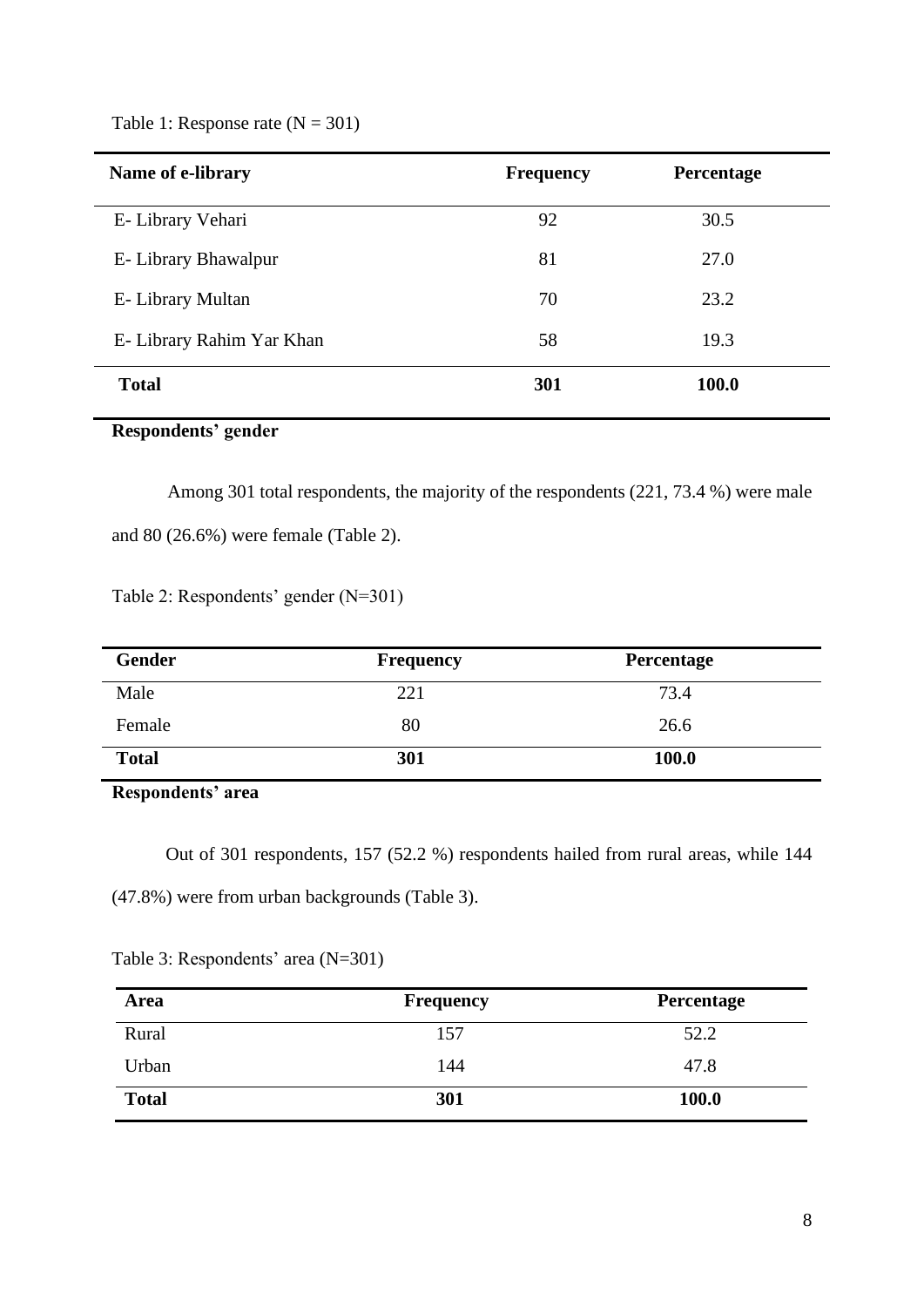Table 1: Response rate  $(N = 301)$ 

| Name of e-library         | <b>Frequency</b> | Percentage |
|---------------------------|------------------|------------|
| E-Library Vehari          | 92               | 30.5       |
| E- Library Bhawalpur      | 81               | 27.0       |
| E- Library Multan         | 70               | 23.2       |
| E- Library Rahim Yar Khan | 58               | 19.3       |
| <b>Total</b>              | 301              | 100.0      |

## **Respondents' gender**

 Among 301 total respondents, the majority of the respondents (221, 73.4 %) were male and 80 (26.6%) were female (Table 2).

Table 2: Respondents' gender (N=301)

| Gender       | <b>Frequency</b> | Percentage |
|--------------|------------------|------------|
| Male         | 221              | 73.4       |
| Female       | 80               | 26.6       |
| <b>Total</b> | 301              | 100.0      |

**Respondents' area**

Out of 301 respondents, 157 (52.2 %) respondents hailed from rural areas, while 144 (47.8%) were from urban backgrounds (Table 3).

| A roo                              | Froquency |
|------------------------------------|-----------|
| Table 3: Respondents' area (N=301) |           |
|                                    |           |

| Area         | Frequency | Percentage   |
|--------------|-----------|--------------|
| Rural        | 157       | 52.2         |
| Urban        | 144       | 47.8         |
| <b>Total</b> | 301       | <b>100.0</b> |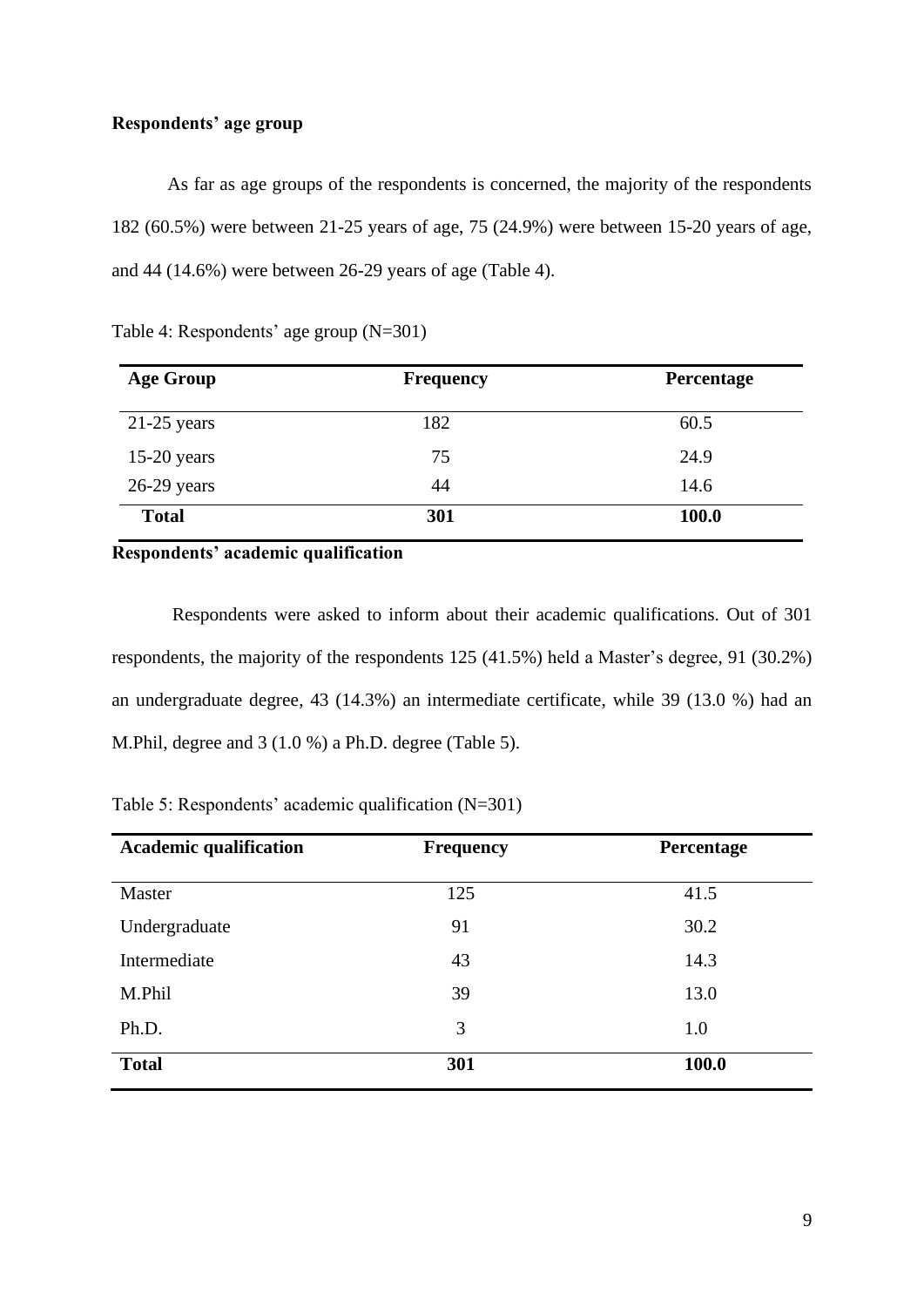### **Respondents' age group**

As far as age groups of the respondents is concerned, the majority of the respondents 182 (60.5%) were between 21-25 years of age, 75 (24.9%) were between 15-20 years of age, and 44 (14.6%) were between 26-29 years of age (Table 4).

| <b>Age Group</b> | <b>Frequency</b> | Percentage   |
|------------------|------------------|--------------|
| $21-25$ years    | 182              | 60.5         |
| $15-20$ years    | 75               | 24.9         |
| $26-29$ years    | 44               | 14.6         |
| <b>Total</b>     | 301              | <b>100.0</b> |

Table 4: Respondents' age group (N=301)

### **Respondents' academic qualification**

Respondents were asked to inform about their academic qualifications. Out of 301 respondents, the majority of the respondents 125 (41.5%) held a Master's degree, 91 (30.2%) an undergraduate degree, 43 (14.3%) an intermediate certificate, while 39 (13.0 %) had an M.Phil, degree and 3 (1.0 %) a Ph.D. degree (Table 5).

Table 5: Respondents' academic qualification (N=301)

| <b>Academic qualification</b> | <b>Frequency</b> | Percentage |
|-------------------------------|------------------|------------|
| Master                        | 125              | 41.5       |
| Undergraduate                 | 91               | 30.2       |
| Intermediate                  | 43               | 14.3       |
| M.Phil                        | 39               | 13.0       |
| Ph.D.                         | 3                | 1.0        |
| <b>Total</b>                  | 301              | 100.0      |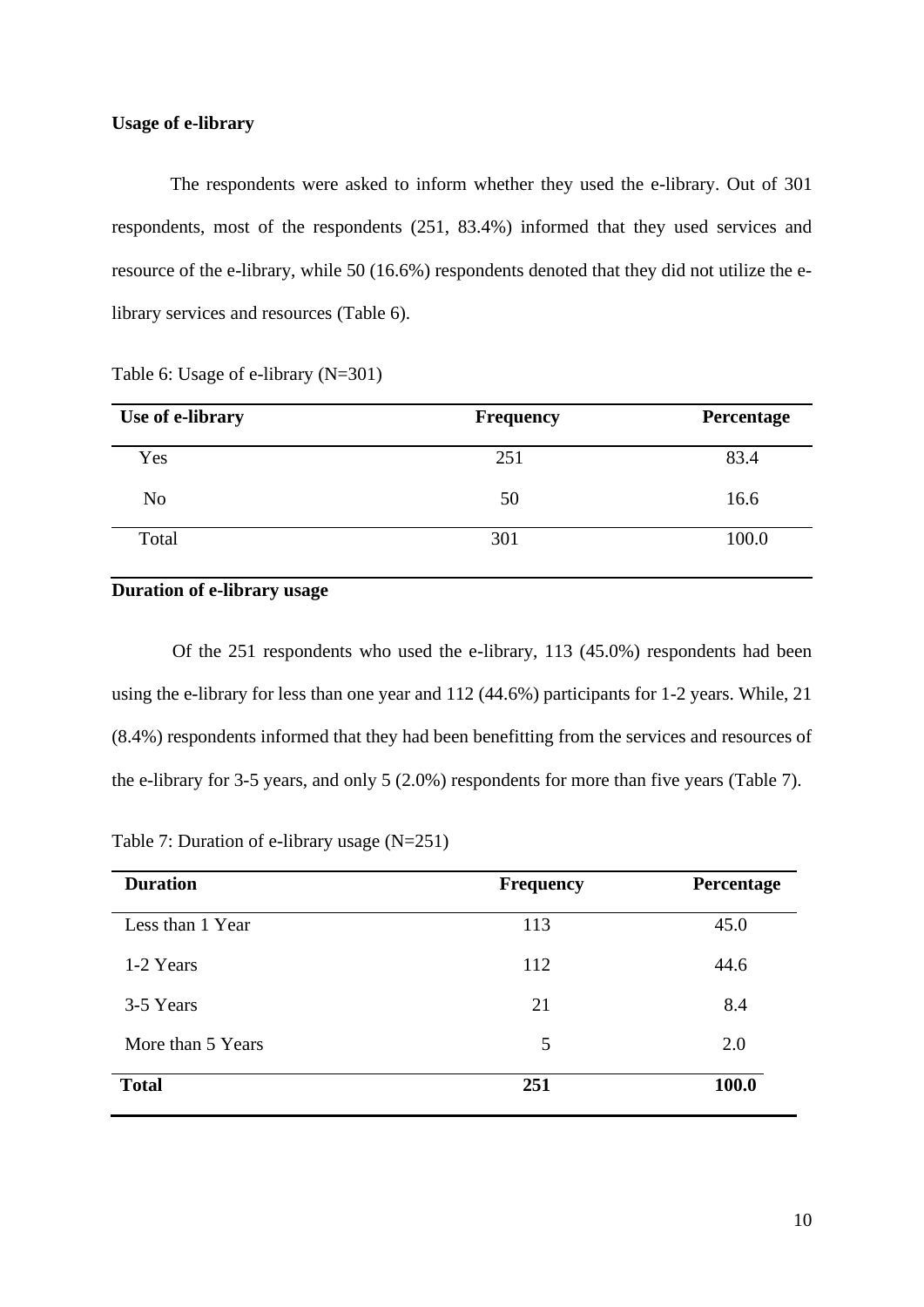### **Usage of e-library**

 The respondents were asked to inform whether they used the e-library. Out of 301 respondents, most of the respondents (251, 83.4%) informed that they used services and resource of the e-library, while 50 (16.6%) respondents denoted that they did not utilize the elibrary services and resources (Table 6).

| Use of e-library | <b>Frequency</b> | Percentage |
|------------------|------------------|------------|
| Yes              | 251              | 83.4       |
| N <sub>o</sub>   | 50               | 16.6       |
| Total            | 301              | 100.0      |

Table 6: Usage of e-library (N=301)

### **Duration of e-library usage**

 Of the 251 respondents who used the e-library, 113 (45.0%) respondents had been using the e-library for less than one year and 112 (44.6%) participants for 1-2 years. While, 21 (8.4%) respondents informed that they had been benefitting from the services and resources of the e-library for 3-5 years, and only 5 (2.0%) respondents for more than five years (Table 7).

Table 7: Duration of e-library usage (N=251)

| <b>Duration</b>   | <b>Frequency</b> | Percentage |
|-------------------|------------------|------------|
| Less than 1 Year  | 113              | 45.0       |
| 1-2 Years         | 112              | 44.6       |
| 3-5 Years         | 21               | 8.4        |
| More than 5 Years | 5                | 2.0        |
| <b>Total</b>      | 251              | 100.0      |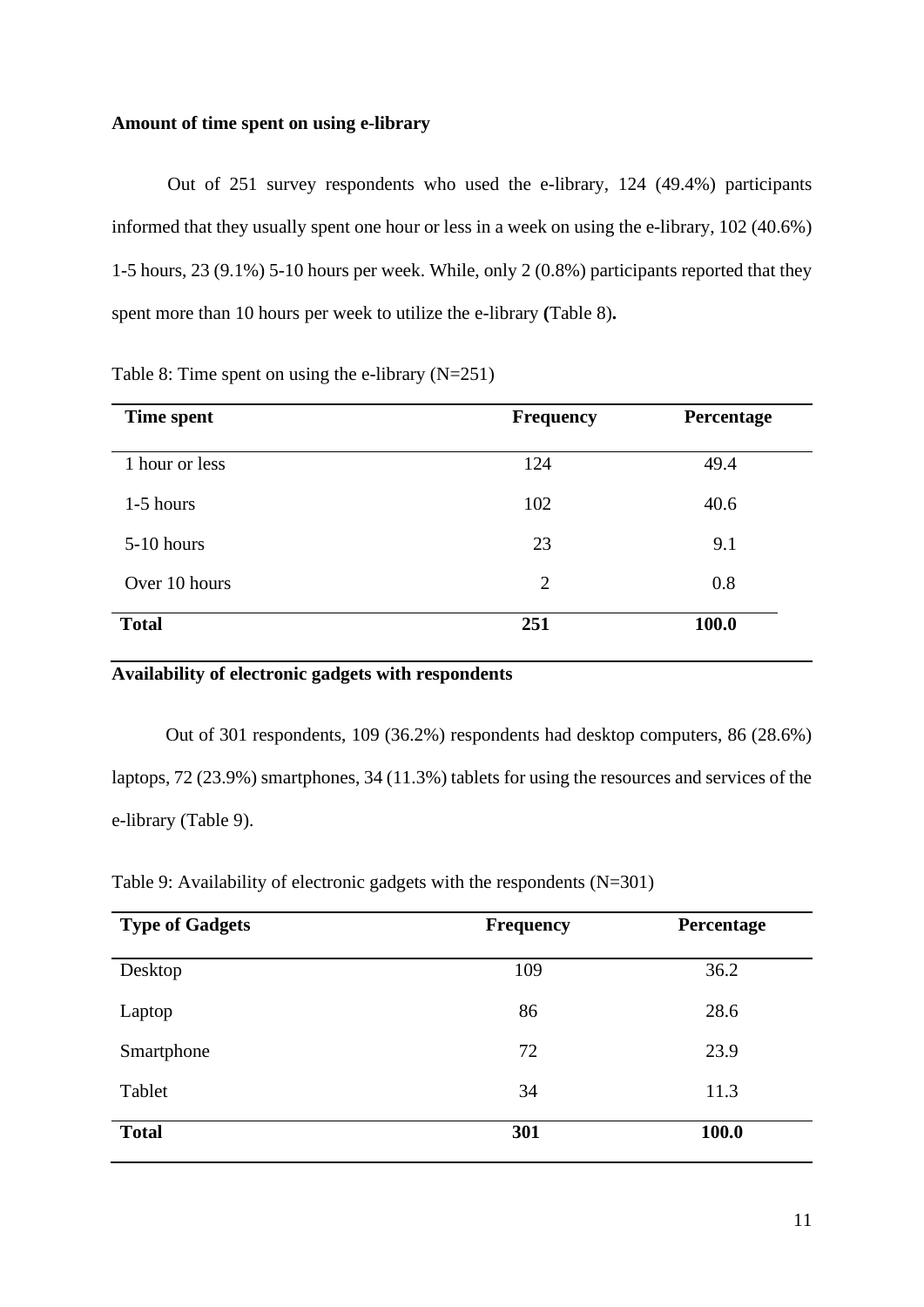### **Amount of time spent on using e-library**

Out of 251 survey respondents who used the e-library, 124 (49.4%) participants informed that they usually spent one hour or less in a week on using the e-library, 102 (40.6%) 1-5 hours, 23 (9.1%) 5-10 hours per week. While, only 2 (0.8%) participants reported that they spent more than 10 hours per week to utilize the e-library **(**Table 8)**.**

Table 8: Time spent on using the e-library (N=251)

| Time spent     | <b>Frequency</b> | Percentage |
|----------------|------------------|------------|
| 1 hour or less | 124              | 49.4       |
| $1-5$ hours    | 102              | 40.6       |
| $5-10$ hours   | 23               | 9.1        |
| Over 10 hours  | $\overline{2}$   | 0.8        |
| <b>Total</b>   | 251              | 100.0      |

### **Availability of electronic gadgets with respondents**

 Out of 301 respondents, 109 (36.2%) respondents had desktop computers, 86 (28.6%) laptops, 72 (23.9%) smartphones, 34 (11.3%) tablets for using the resources and services of the e-library (Table 9).

| Table 9: Availability of electronic gadgets with the respondents $(N=301)$ |  |  |
|----------------------------------------------------------------------------|--|--|
|                                                                            |  |  |
|                                                                            |  |  |
|                                                                            |  |  |

| <b>Type of Gadgets</b> | <b>Frequency</b> | Percentage |
|------------------------|------------------|------------|
| Desktop                | 109              | 36.2       |
| Laptop                 | 86               | 28.6       |
| Smartphone             | 72               | 23.9       |
| Tablet                 | 34               | 11.3       |
| <b>Total</b>           | 301              | 100.0      |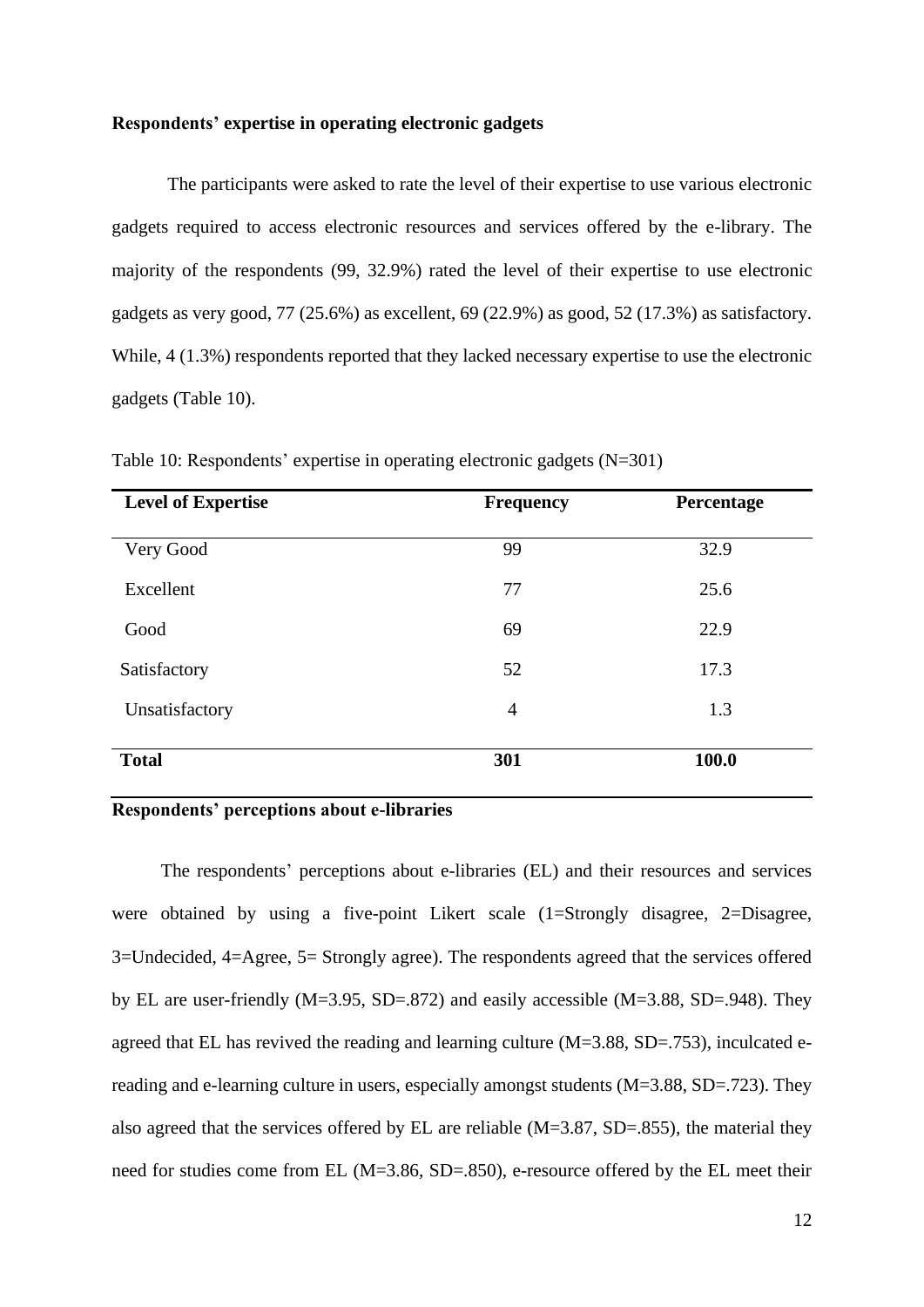#### **Respondents' expertise in operating electronic gadgets**

The participants were asked to rate the level of their expertise to use various electronic gadgets required to access electronic resources and services offered by the e-library. The majority of the respondents (99, 32.9%) rated the level of their expertise to use electronic gadgets as very good, 77 (25.6%) as excellent, 69 (22.9%) as good, 52 (17.3%) as satisfactory. While, 4 (1.3%) respondents reported that they lacked necessary expertise to use the electronic gadgets (Table 10).

| <b>Level of Expertise</b> | <b>Frequency</b> | Percentage |
|---------------------------|------------------|------------|
| Very Good                 | 99               | 32.9       |
| Excellent                 | 77               | 25.6       |
| Good                      | 69               | 22.9       |
| Satisfactory              | 52               | 17.3       |
| Unsatisfactory            | $\overline{4}$   | 1.3        |
| <b>Total</b>              | 301              | 100.0      |

Table 10: Respondents' expertise in operating electronic gadgets (N=301)

### **Respondents' perceptions about e-libraries**

The respondents' perceptions about e-libraries (EL) and their resources and services were obtained by using a five-point Likert scale (1=Strongly disagree, 2=Disagree, 3=Undecided, 4=Agree, 5= Strongly agree). The respondents agreed that the services offered by EL are user-friendly (M=3.95, SD=.872) and easily accessible (M=3.88, SD=.948). They agreed that EL has revived the reading and learning culture (M=3.88, SD=.753), inculcated ereading and e-learning culture in users, especially amongst students (M=3.88, SD=.723). They also agreed that the services offered by EL are reliable (M=3.87, SD=.855), the material they need for studies come from EL (M=3.86, SD=.850), e-resource offered by the EL meet their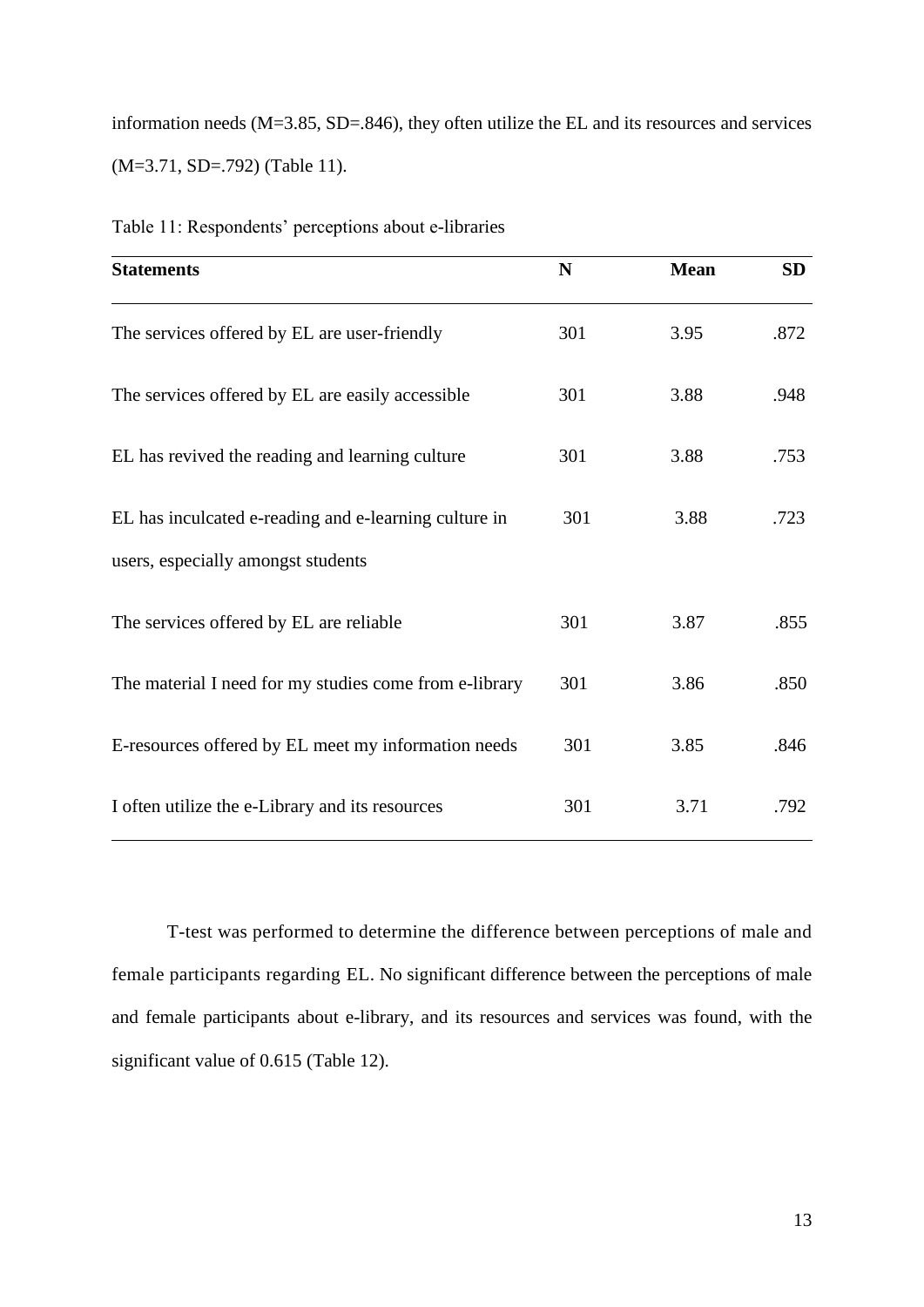information needs (M=3.85, SD=.846), they often utilize the EL and its resources and services (M=3.71, SD=.792) (Table 11).

| <b>Statements</b>                                      | N   | <b>Mean</b> | <b>SD</b> |
|--------------------------------------------------------|-----|-------------|-----------|
| The services offered by EL are user-friendly           | 301 | 3.95        | .872      |
| The services offered by EL are easily accessible       | 301 | 3.88        | .948      |
| EL has revived the reading and learning culture        | 301 | 3.88        | .753      |
| EL has inculcated e-reading and e-learning culture in  | 301 | 3.88        | .723      |
| users, especially amongst students                     |     |             |           |
| The services offered by EL are reliable                | 301 | 3.87        | .855      |
| The material I need for my studies come from e-library | 301 | 3.86        | .850      |
| E-resources offered by EL meet my information needs    | 301 | 3.85        | .846      |
| I often utilize the e-Library and its resources        | 301 | 3.71        | .792      |

Table 11: Respondents' perceptions about e-libraries

 T-test was performed to determine the difference between perceptions of male and female participants regarding EL. No significant difference between the perceptions of male and female participants about e-library, and its resources and services was found, with the significant value of 0.615 (Table 12).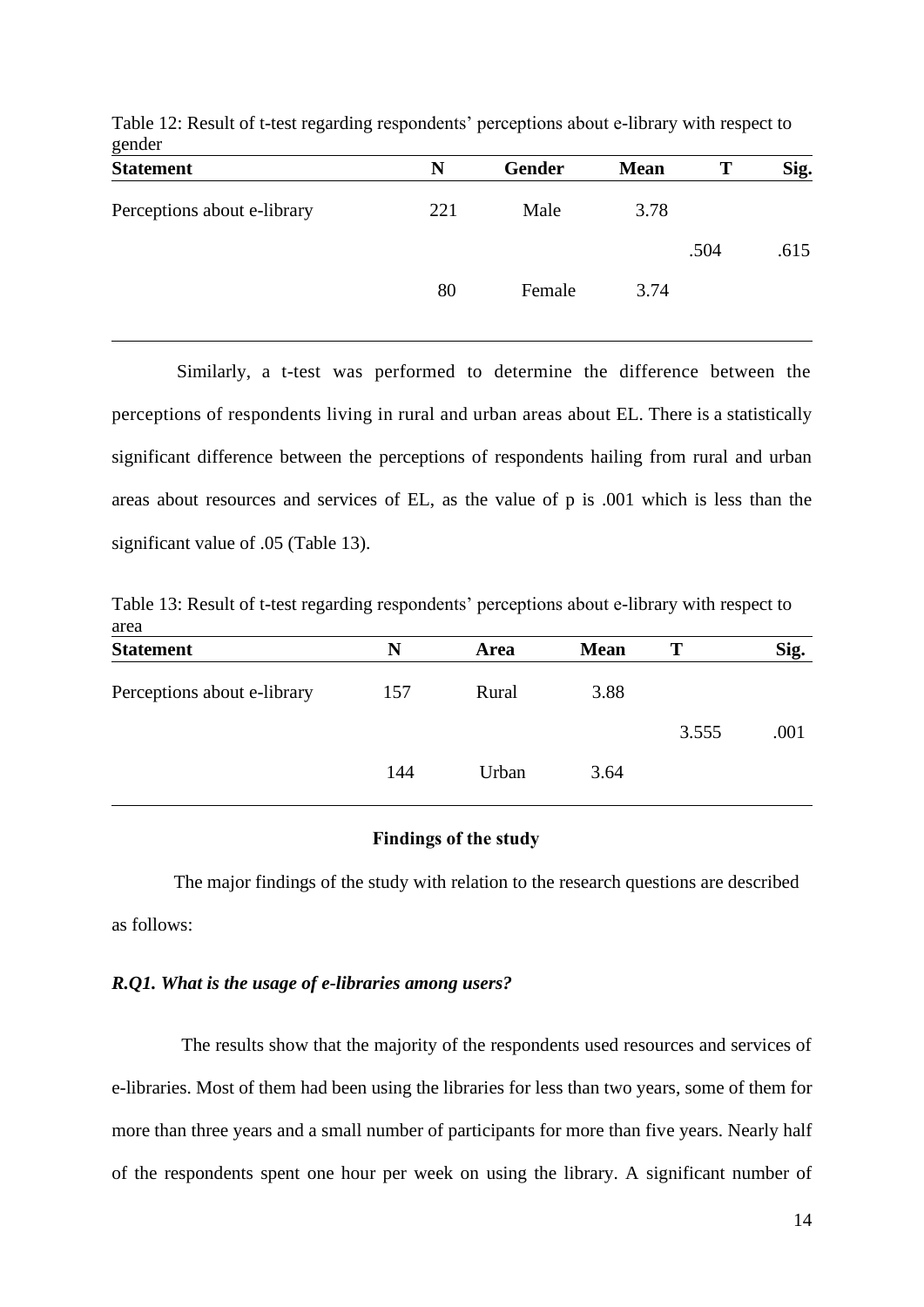| $5^{\text{under}}$<br><b>Statement</b> | N   | <b>Gender</b> | <b>Mean</b> | T    | Sig. |
|----------------------------------------|-----|---------------|-------------|------|------|
| Perceptions about e-library            | 221 | Male          | 3.78        |      |      |
|                                        |     |               |             | .504 | .615 |
|                                        | 80  | Female        | 3.74        |      |      |
|                                        |     |               |             |      |      |

Table 12: Result of t-test regarding respondents' perceptions about e-library with respect to gender

 Similarly, a t-test was performed to determine the difference between the perceptions of respondents living in rural and urban areas about EL. There is a statistically significant difference between the perceptions of respondents hailing from rural and urban areas about resources and services of EL, as the value of p is .001 which is less than the significant value of .05 (Table 13).

Table 13: Result of t-test regarding respondents' perceptions about e-library with respect to area

| <b>Statement</b>            | N   | Area  | <b>Mean</b> | Т     | Sig. |
|-----------------------------|-----|-------|-------------|-------|------|
| Perceptions about e-library | 157 | Rural | 3.88        |       |      |
|                             |     |       |             | 3.555 | .001 |
|                             | 144 | Urban | 3.64        |       |      |

### **Findings of the study**

 The major findings of the study with relation to the research questions are described as follows:

### *R.Q1. What is the usage of e-libraries among users?*

 The results show that the majority of the respondents used resources and services of e-libraries. Most of them had been using the libraries for less than two years, some of them for more than three years and a small number of participants for more than five years. Nearly half of the respondents spent one hour per week on using the library. A significant number of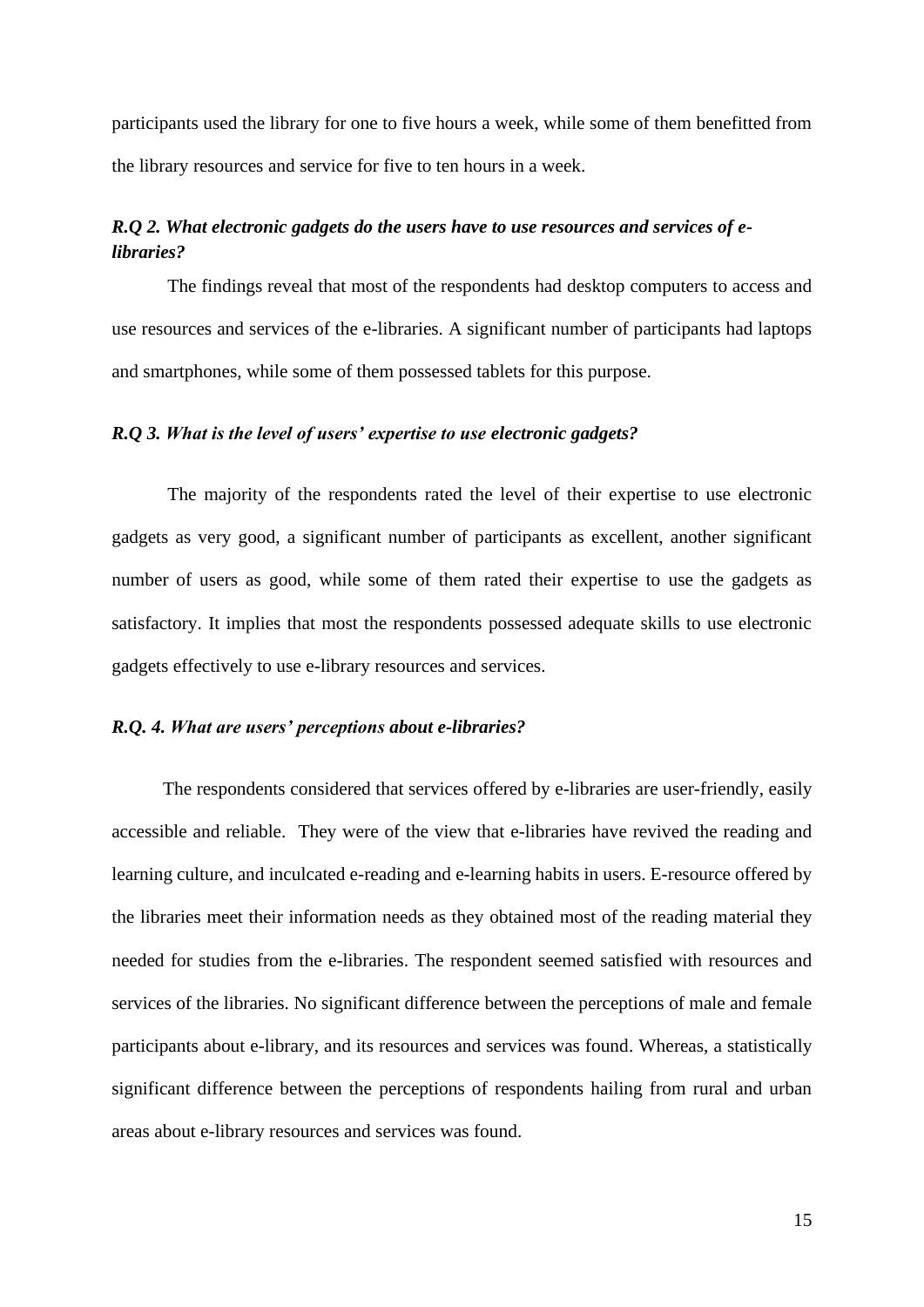participants used the library for one to five hours a week, while some of them benefitted from the library resources and service for five to ten hours in a week.

### *R.Q 2. What electronic gadgets do the users have to use resources and services of elibraries?*

The findings reveal that most of the respondents had desktop computers to access and use resources and services of the e-libraries. A significant number of participants had laptops and smartphones, while some of them possessed tablets for this purpose.

### *R.Q 3. What is the level of users' expertise to use electronic gadgets?*

 The majority of the respondents rated the level of their expertise to use electronic gadgets as very good, a significant number of participants as excellent, another significant number of users as good, while some of them rated their expertise to use the gadgets as satisfactory. It implies that most the respondents possessed adequate skills to use electronic gadgets effectively to use e-library resources and services.

### *R.Q. 4. What are users' perceptions about e-libraries?*

 The respondents considered that services offered by e-libraries are user-friendly, easily accessible and reliable. They were of the view that e-libraries have revived the reading and learning culture, and inculcated e-reading and e-learning habits in users. E-resource offered by the libraries meet their information needs as they obtained most of the reading material they needed for studies from the e-libraries. The respondent seemed satisfied with resources and services of the libraries. No significant difference between the perceptions of male and female participants about e-library, and its resources and services was found. Whereas, a statistically significant difference between the perceptions of respondents hailing from rural and urban areas about e-library resources and services was found.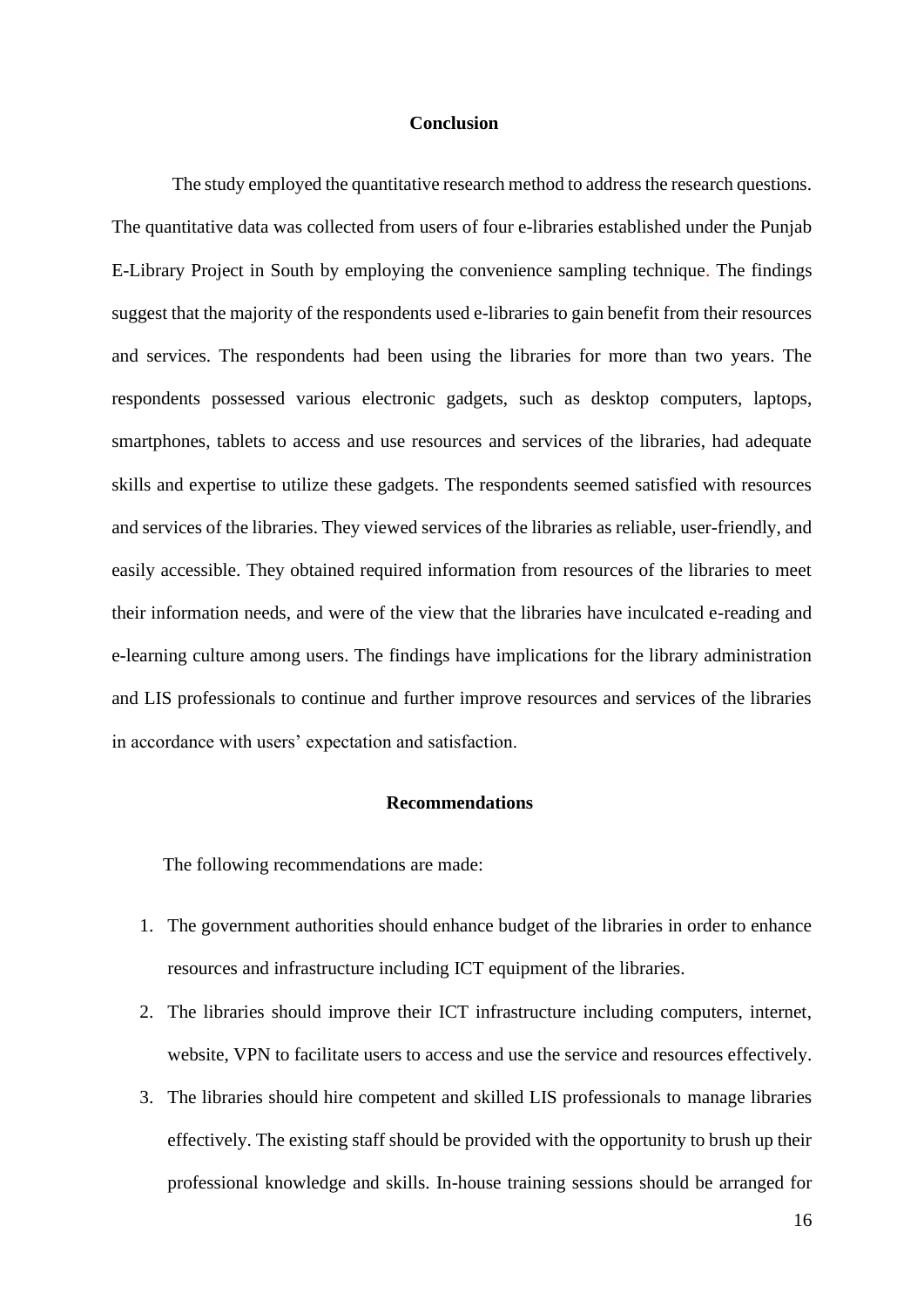### **Conclusion**

 The study employed the quantitative research method to address the research questions. The quantitative data was collected from users of four e-libraries established under the Punjab E-Library Project in South by employing the convenience sampling technique. The findings suggest that the majority of the respondents used e-libraries to gain benefit from their resources and services. The respondents had been using the libraries for more than two years. The respondents possessed various electronic gadgets, such as desktop computers, laptops, smartphones, tablets to access and use resources and services of the libraries, had adequate skills and expertise to utilize these gadgets. The respondents seemed satisfied with resources and services of the libraries. They viewed services of the libraries as reliable, user-friendly, and easily accessible. They obtained required information from resources of the libraries to meet their information needs, and were of the view that the libraries have inculcated e-reading and e-learning culture among users. The findings have implications for the library administration and LIS professionals to continue and further improve resources and services of the libraries in accordance with users' expectation and satisfaction.

#### **Recommendations**

The following recommendations are made:

- 1. The government authorities should enhance budget of the libraries in order to enhance resources and infrastructure including ICT equipment of the libraries.
- 2. The libraries should improve their ICT infrastructure including computers, internet, website, VPN to facilitate users to access and use the service and resources effectively.
- 3. The libraries should hire competent and skilled LIS professionals to manage libraries effectively. The existing staff should be provided with the opportunity to brush up their professional knowledge and skills. In-house training sessions should be arranged for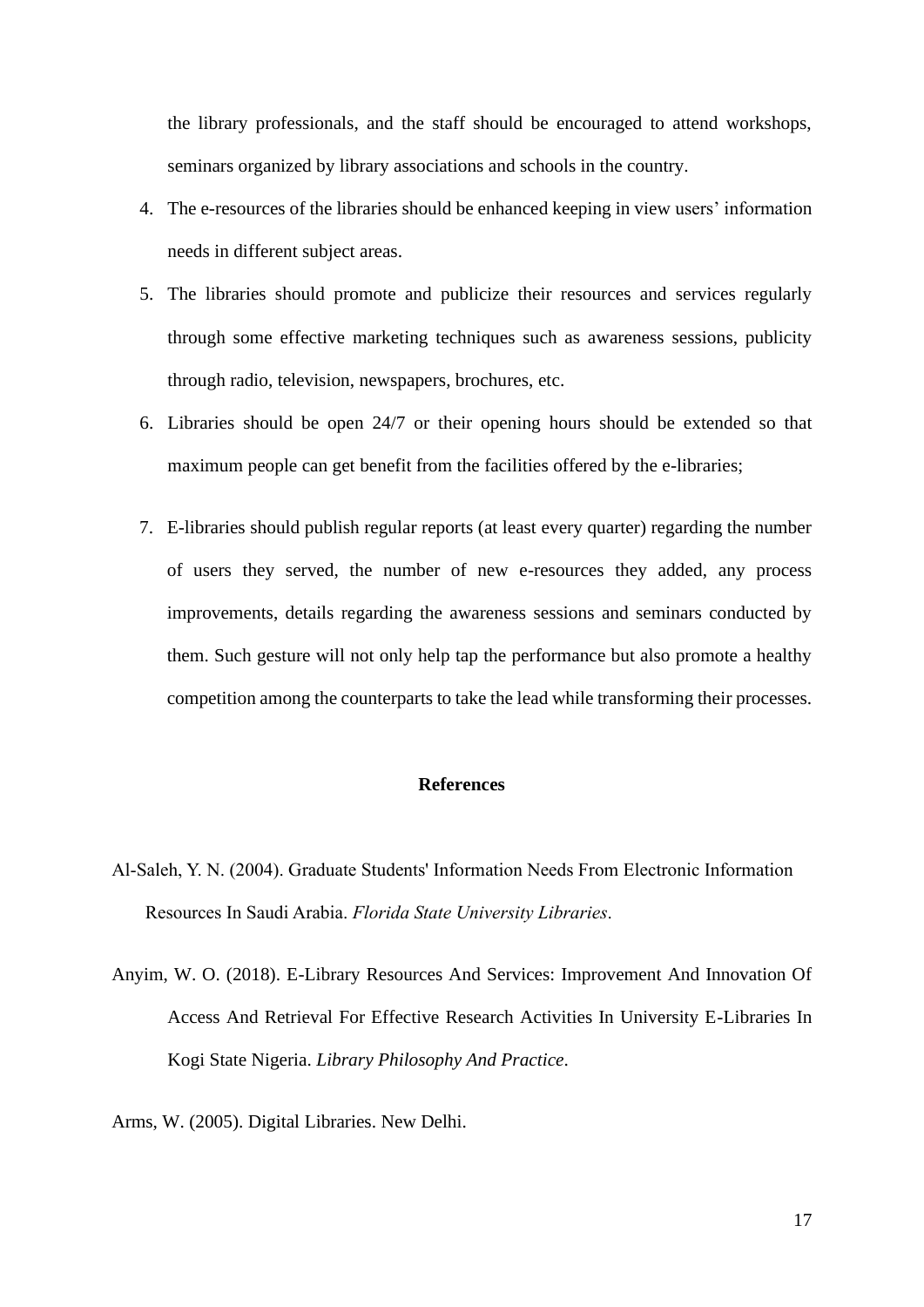the library professionals, and the staff should be encouraged to attend workshops, seminars organized by library associations and schools in the country.

- 4. The e-resources of the libraries should be enhanced keeping in view users' information needs in different subject areas.
- 5. The libraries should promote and publicize their resources and services regularly through some effective marketing techniques such as awareness sessions, publicity through radio, television, newspapers, brochures, etc.
- 6. Libraries should be open 24/7 or their opening hours should be extended so that maximum people can get benefit from the facilities offered by the e-libraries;
- 7. E-libraries should publish regular reports (at least every quarter) regarding the number of users they served, the number of new e-resources they added, any process improvements, details regarding the awareness sessions and seminars conducted by them. Such gesture will not only help tap the performance but also promote a healthy competition among the counterparts to take the lead while transforming their processes.

### **References**

- Al-Saleh, Y. N. (2004). Graduate Students' Information Needs From Electronic Information Resources In Saudi Arabia. *Florida State University Libraries*.
- Anyim, W. O. (2018). E-Library Resources And Services: Improvement And Innovation Of Access And Retrieval For Effective Research Activities In University E-Libraries In Kogi State Nigeria. *Library Philosophy And Practice*.
- Arms, W. (2005). Digital Libraries. New Delhi.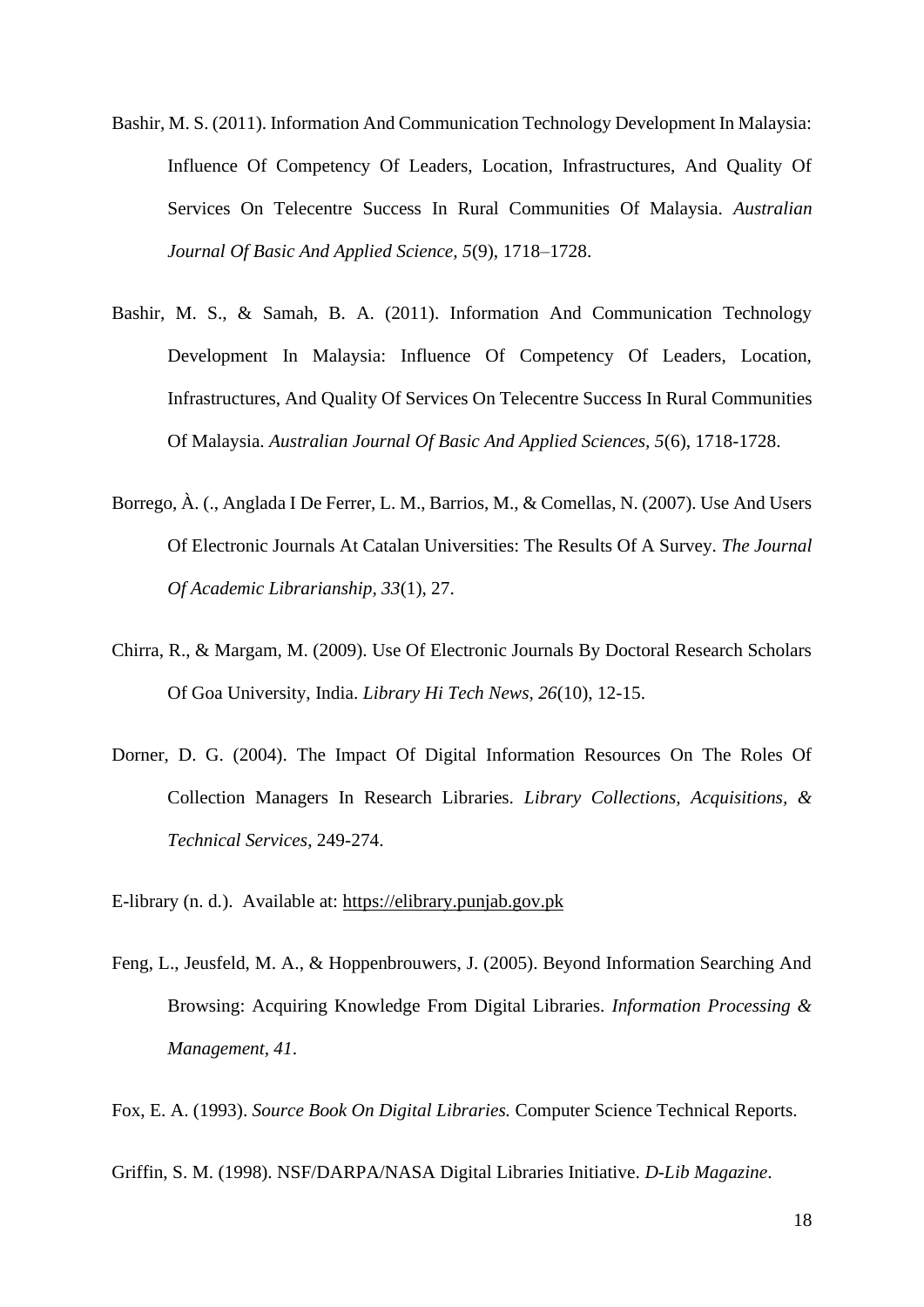- Bashir, M. S. (2011). Information And Communication Technology Development In Malaysia: Influence Of Competency Of Leaders, Location, Infrastructures, And Quality Of Services On Telecentre Success In Rural Communities Of Malaysia. *Australian Journal Of Basic And Applied Science, 5*(9), 1718–1728.
- Bashir, M. S., & Samah, B. A. (2011). Information And Communication Technology Development In Malaysia: Influence Of Competency Of Leaders, Location, Infrastructures, And Quality Of Services On Telecentre Success In Rural Communities Of Malaysia. *Australian Journal Of Basic And Applied Sciences, 5*(6), 1718-1728.
- Borrego, À. (., Anglada I De Ferrer, L. M., Barrios, M., & Comellas, N. (2007). Use And Users Of Electronic Journals At Catalan Universities: The Results Of A Survey. *The Journal Of Academic Librarianship, 33*(1), 27.
- Chirra, R., & Margam, M. (2009). Use Of Electronic Journals By Doctoral Research Scholars Of Goa University, India. *Library Hi Tech News, 26*(10), 12-15.
- Dorner, D. G. (2004). The Impact Of Digital Information Resources On The Roles Of Collection Managers In Research Libraries. *Library Collections, Acquisitions, & Technical Services*, 249-274.
- E-library (n. d.). Available at: [https://elibrary.punjab.gov.pk](https://elibrary.punjab.gov.pk/)
- Feng, L., Jeusfeld, M. A., & Hoppenbrouwers, J. (2005). Beyond Information Searching And Browsing: Acquiring Knowledge From Digital Libraries. *Information Processing & Management, 41*.

Fox, E. A. (1993). *Source Book On Digital Libraries.* Computer Science Technical Reports.

Griffin, S. M. (1998). NSF/DARPA/NASA Digital Libraries Initiative. *D-Lib Magazine*.